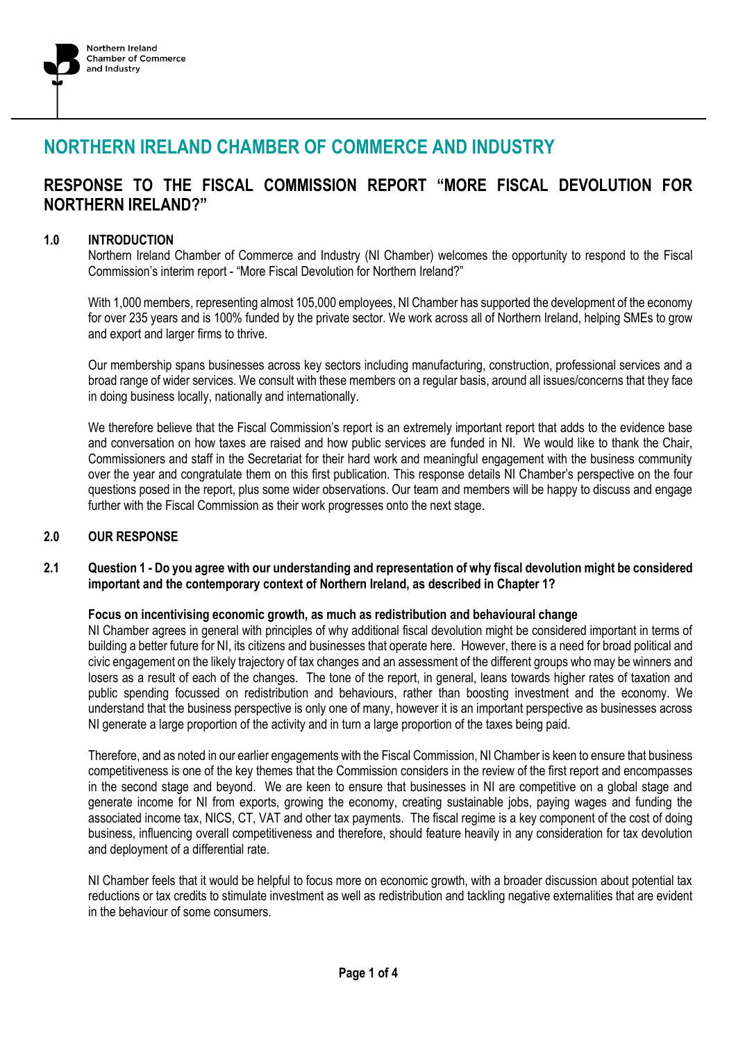

# **NORTHERN IRELAND CHAMBER OF COMMERCE AND INDUSTRY**

# **RESPONSE TO THE FISCAL COMMISSION REPORT "MORE FISCAL DEVOLUTION FOR NORTHERN IRELAND?"**

# **1.0 INTRODUCTION**

Northern Ireland Chamber of Commerce and Industry (NI Chamber) welcomes the opportunity to respond to the Fiscal Commission's interim report - "More Fiscal Devolution for Northern Ireland?"

With 1,000 members, representing almost 105,000 employees, NI Chamber has supported the development of the economy for over 235 years and is 100% funded by the private sector. We work across all of Northern Ireland, helping SMEs to grow and export and larger firms to thrive.

Our membership spans businesses across key sectors including manufacturing, construction, professional services and a broad range of wider services. We consult with these members on a regular basis, around all issues/concerns that they face in doing business locally, nationally and internationally.

We therefore believe that the Fiscal Commission's report is an extremely important report that adds to the evidence base and conversation on how taxes are raised and how public services are funded in NI. We would like to thank the Chair, Commissioners and staff in the Secretariat for their hard work and meaningful engagement with the business community over the year and congratulate them on this first publication. This response details NI Chamber's perspective on the four questions posed in the report, plus some wider observations. Our team and members will be happy to discuss and engage further with the Fiscal Commission as their work progresses onto the next stage.

#### **2.0 OUR RESPONSE**

# **2.1 Question 1 - Do you agree with our understanding and representation of why fiscal devolution might be considered important and the contemporary context of Northern Ireland, as described in Chapter 1?**

#### **Focus on incentivising economic growth, as much as redistribution and behavioural change**

NI Chamber agrees in general with principles of why additional fiscal devolution might be considered important in terms of building a better future for NI, its citizens and businesses that operate here. However, there is a need for broad political and civic engagement on the likely trajectory of tax changes and an assessment of the different groups who may be winners and losers as a result of each of the changes. The tone of the report, in general, leans towards higher rates of taxation and public spending focussed on redistribution and behaviours, rather than boosting investment and the economy. We understand that the business perspective is only one of many, however it is an important perspective as businesses across NI generate a large proportion of the activity and in turn a large proportion of the taxes being paid.

Therefore, and as noted in our earlier engagements with the Fiscal Commission, NI Chamber is keen to ensure that business competitiveness is one of the key themes that the Commission considers in the review of the first report and encompasses in the second stage and beyond. We are keen to ensure that businesses in NI are competitive on a global stage and generate income for NI from exports, growing the economy, creating sustainable jobs, paying wages and funding the associated income tax, NICS, CT, VAT and other tax payments. The fiscal regime is a key component of the cost of doing business, influencing overall competitiveness and therefore, should feature heavily in any consideration for tax devolution and deployment of a differential rate.

NI Chamber feels that it would be helpful to focus more on economic growth, with a broader discussion about potential tax reductions or tax credits to stimulate investment as well as redistribution and tackling negative externalities that are evident in the behaviour of some consumers.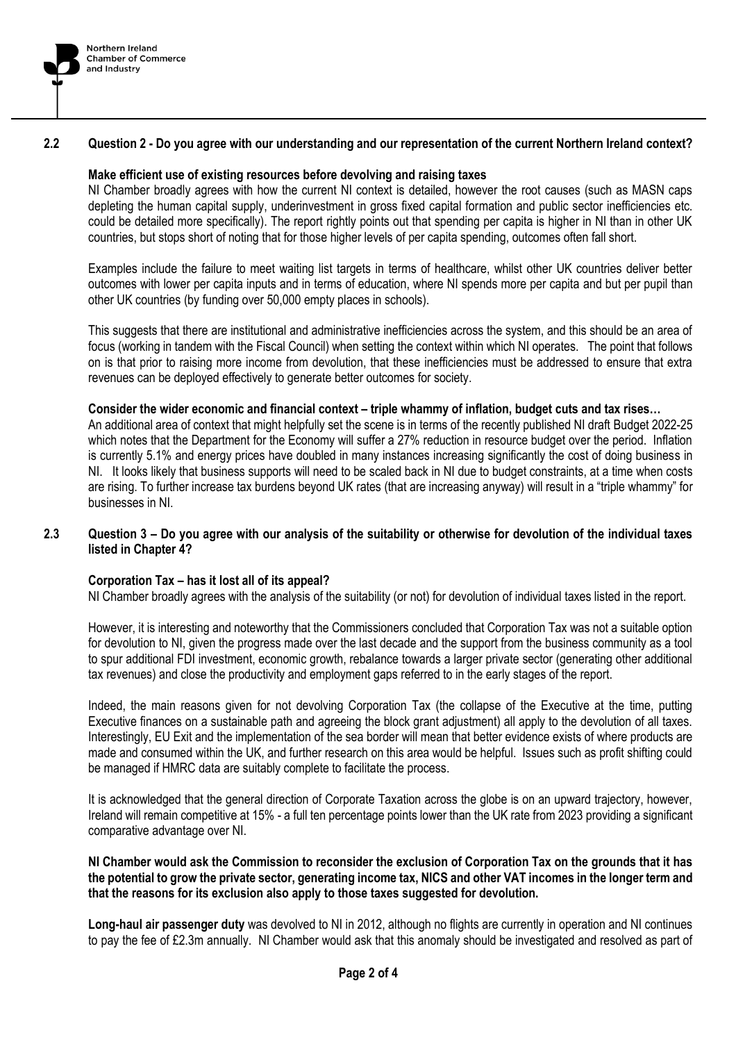

#### **2.2 Question 2 - Do you agree with our understanding and our representation of the current Northern Ireland context?**

# **Make efficient use of existing resources before devolving and raising taxes**

NI Chamber broadly agrees with how the current NI context is detailed, however the root causes (such as MASN caps depleting the human capital supply, underinvestment in gross fixed capital formation and public sector inefficiencies etc. could be detailed more specifically). The report rightly points out that spending per capita is higher in NI than in other UK countries, but stops short of noting that for those higher levels of per capita spending, outcomes often fall short.

Examples include the failure to meet waiting list targets in terms of healthcare, whilst other UK countries deliver better outcomes with lower per capita inputs and in terms of education, where NI spends more per capita and but per pupil than other UK countries (by funding over 50,000 empty places in schools).

This suggests that there are institutional and administrative inefficiencies across the system, and this should be an area of focus (working in tandem with the Fiscal Council) when setting the context within which NI operates. The point that follows on is that prior to raising more income from devolution, that these inefficiencies must be addressed to ensure that extra revenues can be deployed effectively to generate better outcomes for society.

#### **Consider the wider economic and financial context – triple whammy of inflation, budget cuts and tax rises…**

An additional area of context that might helpfully set the scene is in terms of the recently published NI draft Budget 2022-25 which notes that the Department for the Economy will suffer a 27% reduction in resource budget over the period. Inflation is currently 5.1% and energy prices have doubled in many instances increasing significantly the cost of doing business in NI. It looks likely that business supports will need to be scaled back in NI due to budget constraints, at a time when costs are rising. To further increase tax burdens beyond UK rates (that are increasing anyway) will result in a "triple whammy" for businesses in NI.

# **2.3 Question 3 – Do you agree with our analysis of the suitability or otherwise for devolution of the individual taxes listed in Chapter 4?**

#### **Corporation Tax – has it lost all of its appeal?**

NI Chamber broadly agrees with the analysis of the suitability (or not) for devolution of individual taxes listed in the report.

However, it is interesting and noteworthy that the Commissioners concluded that Corporation Tax was not a suitable option for devolution to NI, given the progress made over the last decade and the support from the business community as a tool to spur additional FDI investment, economic growth, rebalance towards a larger private sector (generating other additional tax revenues) and close the productivity and employment gaps referred to in the early stages of the report.

Indeed, the main reasons given for not devolving Corporation Tax (the collapse of the Executive at the time, putting Executive finances on a sustainable path and agreeing the block grant adjustment) all apply to the devolution of all taxes. Interestingly, EU Exit and the implementation of the sea border will mean that better evidence exists of where products are made and consumed within the UK, and further research on this area would be helpful. Issues such as profit shifting could be managed if HMRC data are suitably complete to facilitate the process.

It is acknowledged that the general direction of Corporate Taxation across the globe is on an upward trajectory, however, Ireland will remain competitive at 15% - a full ten percentage points lower than the UK rate from 2023 providing a significant comparative advantage over NI.

**NI Chamber would ask the Commission to reconsider the exclusion of Corporation Tax on the grounds that it has the potential to grow the private sector, generating income tax, NICS and other VAT incomes in the longer term and that the reasons for its exclusion also apply to those taxes suggested for devolution.**

**Long-haul air passenger duty** was devolved to NI in 2012, although no flights are currently in operation and NI continues to pay the fee of £2.3m annually. NI Chamber would ask that this anomaly should be investigated and resolved as part of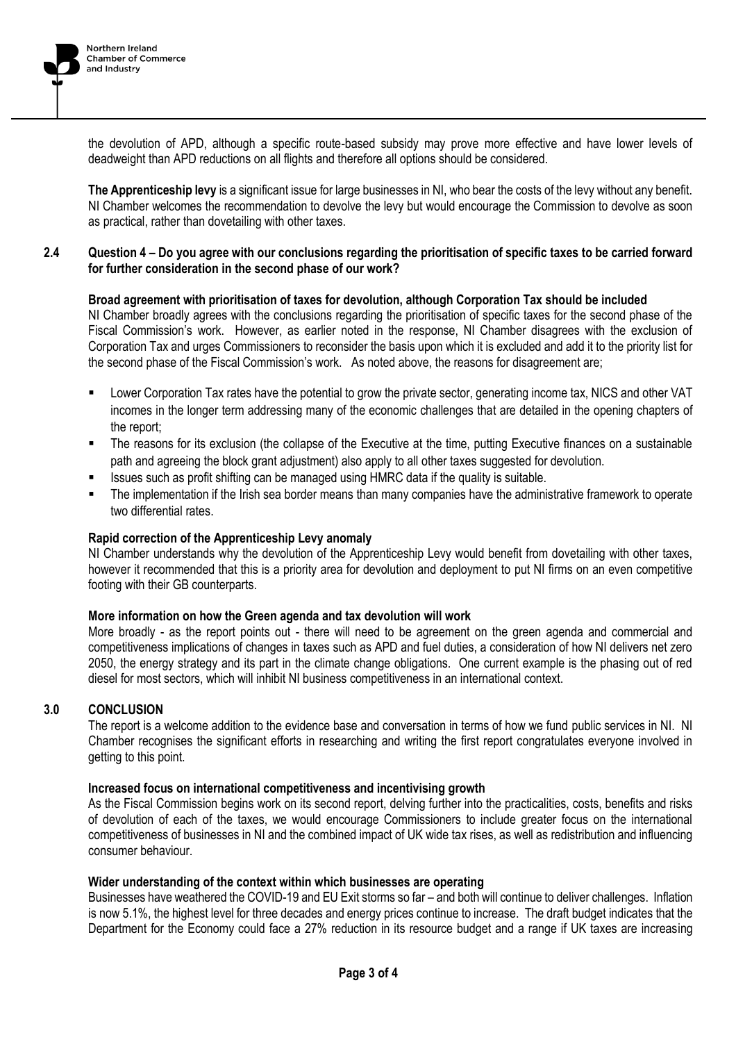

the devolution of APD, although a specific route-based subsidy may prove more effective and have lower levels of deadweight than APD reductions on all flights and therefore all options should be considered.

**The Apprenticeship levy** is a significant issue for large businesses in NI, who bear the costs of the levy without any benefit. NI Chamber welcomes the recommendation to devolve the levy but would encourage the Commission to devolve as soon as practical, rather than dovetailing with other taxes.

#### **2.4 Question 4 – Do you agree with our conclusions regarding the prioritisation of specific taxes to be carried forward for further consideration in the second phase of our work?**

# **Broad agreement with prioritisation of taxes for devolution, although Corporation Tax should be included**

NI Chamber broadly agrees with the conclusions regarding the prioritisation of specific taxes for the second phase of the Fiscal Commission's work. However, as earlier noted in the response, NI Chamber disagrees with the exclusion of Corporation Tax and urges Commissioners to reconsider the basis upon which it is excluded and add it to the priority list for the second phase of the Fiscal Commission's work. As noted above, the reasons for disagreement are;

- Lower Corporation Tax rates have the potential to grow the private sector, generating income tax, NICS and other VAT incomes in the longer term addressing many of the economic challenges that are detailed in the opening chapters of the report;
- The reasons for its exclusion (the collapse of the Executive at the time, putting Executive finances on a sustainable path and agreeing the block grant adjustment) also apply to all other taxes suggested for devolution.
- Issues such as profit shifting can be managed using HMRC data if the quality is suitable.
- The implementation if the Irish sea border means than many companies have the administrative framework to operate two differential rates.

# **Rapid correction of the Apprenticeship Levy anomaly**

NI Chamber understands why the devolution of the Apprenticeship Levy would benefit from dovetailing with other taxes, however it recommended that this is a priority area for devolution and deployment to put NI firms on an even competitive footing with their GB counterparts.

#### **More information on how the Green agenda and tax devolution will work**

More broadly - as the report points out - there will need to be agreement on the green agenda and commercial and competitiveness implications of changes in taxes such as APD and fuel duties, a consideration of how NI delivers net zero 2050, the energy strategy and its part in the climate change obligations. One current example is the phasing out of red diesel for most sectors, which will inhibit NI business competitiveness in an international context.

#### **3.0 CONCLUSION**

The report is a welcome addition to the evidence base and conversation in terms of how we fund public services in NI. NI Chamber recognises the significant efforts in researching and writing the first report congratulates everyone involved in getting to this point.

#### **Increased focus on international competitiveness and incentivising growth**

As the Fiscal Commission begins work on its second report, delving further into the practicalities, costs, benefits and risks of devolution of each of the taxes, we would encourage Commissioners to include greater focus on the international competitiveness of businesses in NI and the combined impact of UK wide tax rises, as well as redistribution and influencing consumer behaviour.

#### **Wider understanding of the context within which businesses are operating**

Businesses have weathered the COVID-19 and EU Exit storms so far – and both will continue to deliver challenges. Inflation is now 5.1%, the highest level for three decades and energy prices continue to increase. The draft budget indicates that the Department for the Economy could face a 27% reduction in its resource budget and a range if UK taxes are increasing